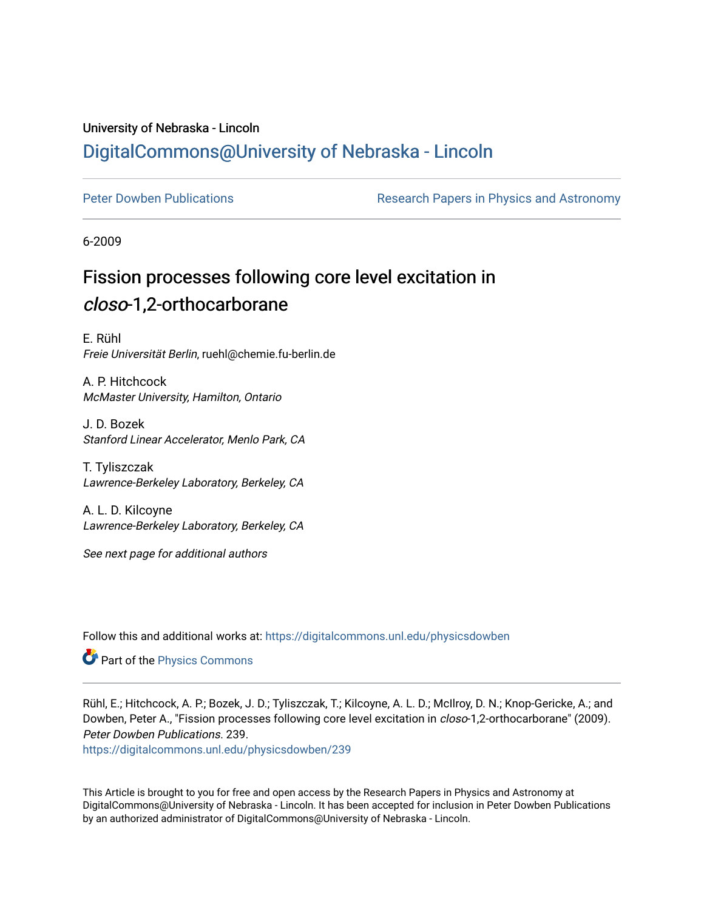## University of Nebraska - Lincoln [DigitalCommons@University of Nebraska - Lincoln](https://digitalcommons.unl.edu/)

[Peter Dowben Publications](https://digitalcommons.unl.edu/physicsdowben) **Research Papers in Physics and Astronomy** 

6-2009

# Fission processes following core level excitation in closo-1,2-orthocarborane

E. Rühl Freie Universität Berlin, ruehl@chemie.fu-berlin.de

A. P. Hitchcock McMaster University, Hamilton, Ontario

J. D. Bozek Stanford Linear Accelerator, Menlo Park, CA

T. Tyliszczak Lawrence-Berkeley Laboratory, Berkeley, CA

A. L. D. Kilcoyne Lawrence-Berkeley Laboratory, Berkeley, CA

See next page for additional authors

Follow this and additional works at: [https://digitalcommons.unl.edu/physicsdowben](https://digitalcommons.unl.edu/physicsdowben?utm_source=digitalcommons.unl.edu%2Fphysicsdowben%2F239&utm_medium=PDF&utm_campaign=PDFCoverPages) 

Part of the [Physics Commons](http://network.bepress.com/hgg/discipline/193?utm_source=digitalcommons.unl.edu%2Fphysicsdowben%2F239&utm_medium=PDF&utm_campaign=PDFCoverPages)

Rühl, E.; Hitchcock, A. P.; Bozek, J. D.; Tyliszczak, T.; Kilcoyne, A. L. D.; McIlroy, D. N.; Knop-Gericke, A.; and Dowben, Peter A., "Fission processes following core level excitation in *closo*-1,2-orthocarborane" (2009). Peter Dowben Publications. 239.

[https://digitalcommons.unl.edu/physicsdowben/239](https://digitalcommons.unl.edu/physicsdowben/239?utm_source=digitalcommons.unl.edu%2Fphysicsdowben%2F239&utm_medium=PDF&utm_campaign=PDFCoverPages) 

This Article is brought to you for free and open access by the Research Papers in Physics and Astronomy at DigitalCommons@University of Nebraska - Lincoln. It has been accepted for inclusion in Peter Dowben Publications by an authorized administrator of DigitalCommons@University of Nebraska - Lincoln.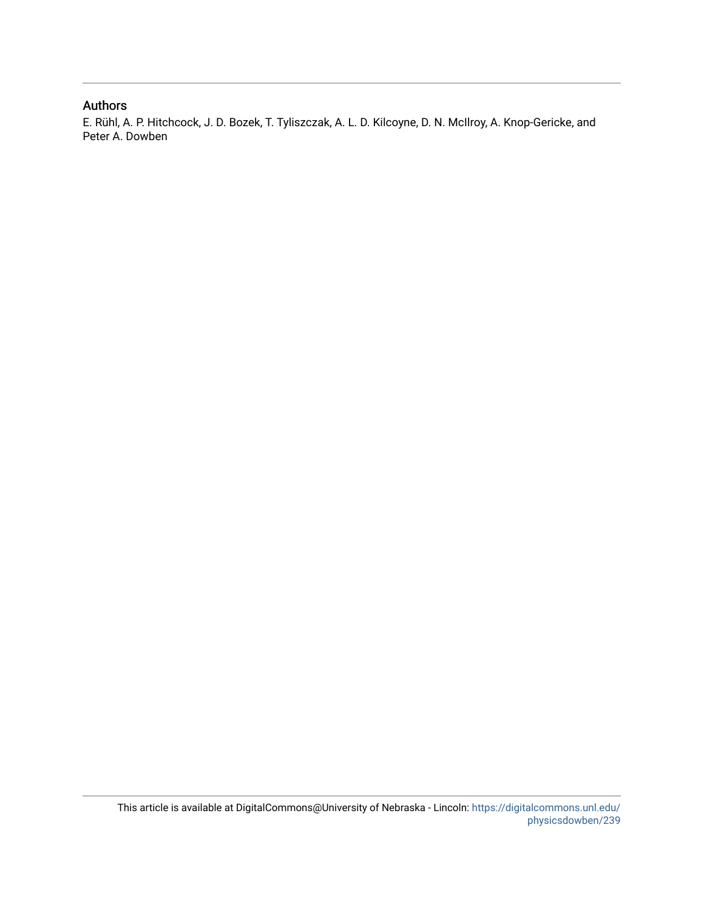### Authors

E. Rühl, A. P. Hitchcock, J. D. Bozek, T. Tyliszczak, A. L. D. Kilcoyne, D. N. McIlroy, A. Knop-Gericke, and Peter A. Dowben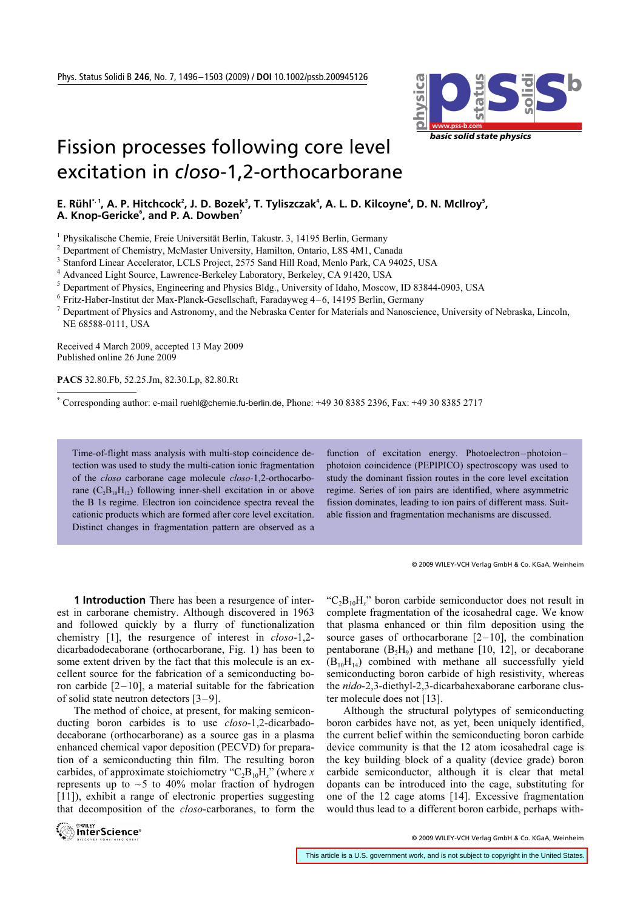

# Fission processes following core level excitation in *closo*-1,2-orthocarborane

### E. Rühl<sup>\*, 1</sup>, A. P. Hitchcock<sup>2</sup>, J. D. Bozek<sup>3</sup>, T. Tyliszczak<sup>4</sup>, A. L. D. Kilcoyne<sup>4</sup>, D. N. McIlroy<sup>5</sup>, A. Knop-Gericke<sup>6</sup>, and P. A. Dowben<sup>7</sup>

<sup>1</sup> Physikalische Chemie, Freie Universität Berlin, Takustr. 3, 14195 Berlin, Germany

<sup>2</sup> Department of Chemistry, McMaster University, Hamilton, Ontario, L8S 4M1, Canada

<sup>3</sup> Stanford Linear Accelerator, LCLS Project, 2575 Sand Hill Road, Menlo Park, CA 94025, USA

<sup>4</sup> Advanced Light Source, Lawrence-Berkeley Laboratory, Berkeley, CA 91420, USA

<sup>5</sup> Department of Physics, Engineering and Physics Bldg., University of Idaho, Moscow, ID 83844-0903, USA

 $6$  Fritz-Haber-Institut der Max-Planck-Gesellschaft, Faradayweg  $4-6$ , 14195 Berlin, Germany

 $^7$  Department of Physics and Astronomy, and the Nebraska Center for Materials and Nanoscience, University of Nebraska, Lincoln, NE 68588-0111, USA

Received 4 March 2009, accepted 13 May 2009 Published online 26 June 2009

PACS 32.80.Fb, 52.25.Jm, 82.30.Lp, 82.80.Rt

\* Corresponding author: e-mail ruehl@chemie.fu-berlin.de, Phone: +49 30 8385 2396, Fax: +49 30 8385 2717

Time-of-flight mass analysis with multi-stop coincidence detection was used to study the multi-cation ionic fragmentation of the closo carborane cage molecule closo-1,2-orthocarborane  $(C_2B_{10}H_{12})$  following inner-shell excitation in or above the B 1s regime. Electron ion coincidence spectra reveal the cationic products which are formed after core level excitation. Distinct changes in fragmentation pattern are observed as a

function of excitation energy. Photoelectron–photoion– photoion coincidence (PEPIPICO) spectroscopy was used to study the dominant fission routes in the core level excitation regime. Series of ion pairs are identified, where asymmetric fission dominates, leading to ion pairs of different mass. Suitable fission and fragmentation mechanisms are discussed.

© 2009 WILEY-VCH Verlag GmbH & Co. KGaA, Weinheim

 **1 Introduction** There has been a resurgence of interest in carborane chemistry. Although discovered in 1963 and followed quickly by a flurry of functionalization chemistry [1], the resurgence of interest in closo-1,2 dicarbadodecaborane (orthocarborane, Fig. 1) has been to some extent driven by the fact that this molecule is an excellent source for the fabrication of a semiconducting boron carbide  $[2-10]$ , a material suitable for the fabrication of solid state neutron detectors [3–9].

 The method of choice, at present, for making semiconducting boron carbides is to use closo-1,2-dicarbadodecaborane (orthocarborane) as a source gas in a plasma enhanced chemical vapor deposition (PECVD) for preparation of a semiconducting thin film. The resulting boron carbides, of approximate stoichiometry " $C_2B_{10}H_r$ " (where x represents up to  $\sim$  5 to 40% molar fraction of hydrogen [11]), exhibit a range of electronic properties suggesting that decomposition of the closo-carboranes, to form the

" $C_2B_{10}H$ " boron carbide semiconductor does not result in complete fragmentation of the icosahedral cage. We know that plasma enhanced or thin film deposition using the source gases of orthocarborane  $[2-10]$ , the combination pentaborane  $(B_5H_9)$  and methane [10, 12], or decaborane  $(B_{10}H_{14})$  combined with methane all successfully yield semiconducting boron carbide of high resistivity, whereas the nido-2,3-diethyl-2,3-dicarbahexaborane carborane cluster molecule does not [13].

 Although the structural polytypes of semiconducting boron carbides have not, as yet, been uniquely identified, the current belief within the semiconducting boron carbide device community is that the 12 atom icosahedral cage is the key building block of a quality (device grade) boron carbide semiconductor, although it is clear that metal dopants can be introduced into the cage, substituting for one of the 12 cage atoms [14]. Excessive fragmentation would thus lead to a different boron carbide, perhaps with-



© 2009 WILEY-VCH Verlag GmbH & Co. KGaA, Weinheim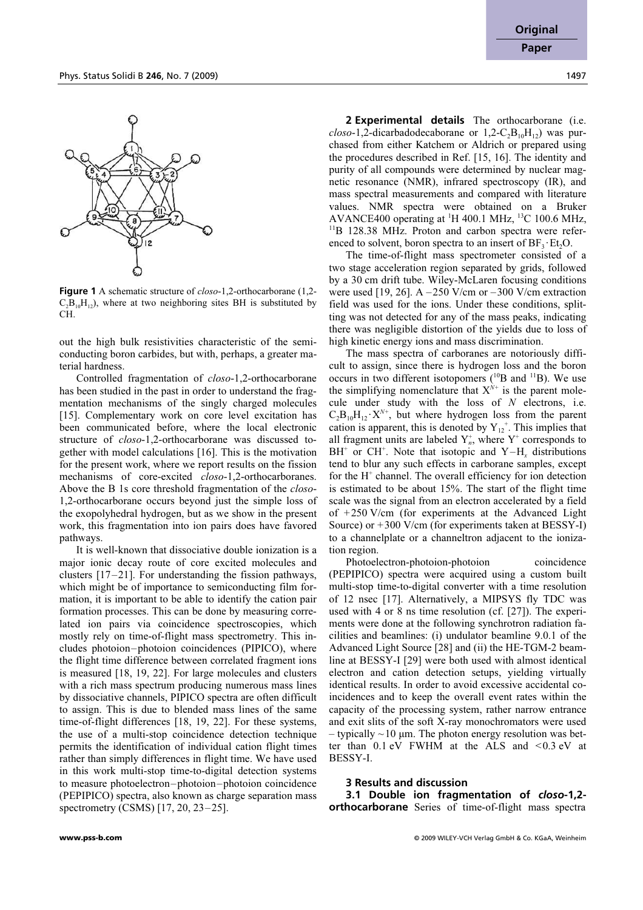

**Figure 1** A schematic structure of closo-1,2-orthocarborane (1,2-  $C_2B_0H_{12}$ , where at two neighboring sites BH is substituted by CH.

out the high bulk resistivities characteristic of the semiconducting boron carbides, but with, perhaps, a greater material hardness.

 Controlled fragmentation of closo-1,2-orthocarborane has been studied in the past in order to understand the fragmentation mechanisms of the singly charged molecules [15]. Complementary work on core level excitation has been communicated before, where the local electronic structure of closo-1,2-orthocarborane was discussed together with model calculations [16]. This is the motivation for the present work, where we report results on the fission mechanisms of core-excited closo-1,2-orthocarboranes. Above the B 1s core threshold fragmentation of the closo-1,2-orthocarborane occurs beyond just the simple loss of the exopolyhedral hydrogen, but as we show in the present work, this fragmentation into ion pairs does have favored pathways.

 It is well-known that dissociative double ionization is a major ionic decay route of core excited molecules and clusters [17–21]. For understanding the fission pathways, which might be of importance to semiconducting film formation, it is important to be able to identify the cation pair formation processes. This can be done by measuring correlated ion pairs via coincidence spectroscopies, which mostly rely on time-of-flight mass spectrometry. This includes photoion–photoion coincidences (PIPICO), where the flight time difference between correlated fragment ions is measured [18, 19, 22]. For large molecules and clusters with a rich mass spectrum producing numerous mass lines by dissociative channels, PIPICO spectra are often difficult to assign. This is due to blended mass lines of the same time-of-flight differences [18, 19, 22]. For these systems, the use of a multi-stop coincidence detection technique permits the identification of individual cation flight times rather than simply differences in flight time. We have used in this work multi-stop time-to-digital detection systems to measure photoelectron–photoion–photoion coincidence (PEPIPICO) spectra, also known as charge separation mass spectrometry (CSMS) [17, 20, 23–25].

 **2 Experimental details** The orthocarborane (i.e.  $\text{c} \log_{10} 1$ ,2-dicarbadodecaborane or  $1, 2$ -C<sub>2</sub>B<sub>10</sub>H<sub>12</sub>) was purchased from either Katchem or Aldrich or prepared using the procedures described in Ref. [15, 16]. The identity and purity of all compounds were determined by nuclear magnetic resonance (NMR), infrared spectroscopy (IR), and mass spectral measurements and compared with literature values. NMR spectra were obtained on a Bruker AVANCE400 operating at <sup>1</sup>H 400.1 MHz, <sup>13</sup>C 100.6 MHz, <sup>11</sup>B 128.38 MHz. Proton and carbon spectra were referenced to solvent, boron spectra to an insert of  $BF_3 \cdot Et_2O$ .

 The time-of-flight mass spectrometer consisted of a two stage acceleration region separated by grids, followed by a 30 cm drift tube. Wiley-McLaren focusing conditions were used [19, 26]. A  $-250$  V/cm or  $-300$  V/cm extraction field was used for the ions. Under these conditions, splitting was not detected for any of the mass peaks, indicating there was negligible distortion of the yields due to loss of high kinetic energy ions and mass discrimination.

 The mass spectra of carboranes are notoriously difficult to assign, since there is hydrogen loss and the boron occurs in two different isotopomers  $(^{10}B$  and  $^{11}B)$ . We use the simplifying nomenclature that  $X^{\hat{N}+}$  is the parent molecule under study with the loss of  $N$  electrons, i.e.  $C_2B_{10}H_{12}\cdot X^{N+}$ , but where hydrogen loss from the parent cation is apparent, this is denoted by  $Y_{12}^+$ . This implies that all fragment units are labeled  $Y_n^*$ , where  $Y^*$  corresponds to  $BH^+$  or CH<sup>+</sup>. Note that isotopic and Y–H<sub>x</sub> distributions tend to blur any such effects in carborane samples, except for the H<sup>+</sup> channel. The overall efficiency for ion detection is estimated to be about 15%. The start of the flight time scale was the signal from an electron accelerated by a field of +250 V/cm (for experiments at the Advanced Light Source) or +300 V/cm (for experiments taken at BESSY-I) to a channelplate or a channeltron adjacent to the ionization region.

Photoelectron-photoion-photoion coincidence (PEPIPICO) spectra were acquired using a custom built multi-stop time-to-digital converter with a time resolution of 12 nsec [17]. Alternatively, a MIPSYS fly TDC was used with 4 or 8 ns time resolution (cf. [27]). The experiments were done at the following synchrotron radiation facilities and beamlines: (i) undulator beamline 9.0.1 of the Advanced Light Source [28] and (ii) the HE-TGM-2 beamline at BESSY-I [29] were both used with almost identical electron and cation detection setups, yielding virtually identical results. In order to avoid excessive accidental coincidences and to keep the overall event rates within the capacity of the processing system, rather narrow entrance and exit slits of the soft X-ray monochromators were used  $-$  typically  $\sim$  10 µm. The photon energy resolution was better than  $0.1$  eV FWHM at the ALS and  $\leq 0.3$  eV at BESSY-I.

#### **3 Results and discussion**

 **3.1 Double ion fragmentation of** *closo***-1,2 orthocarborane** Series of time-of-flight mass spectra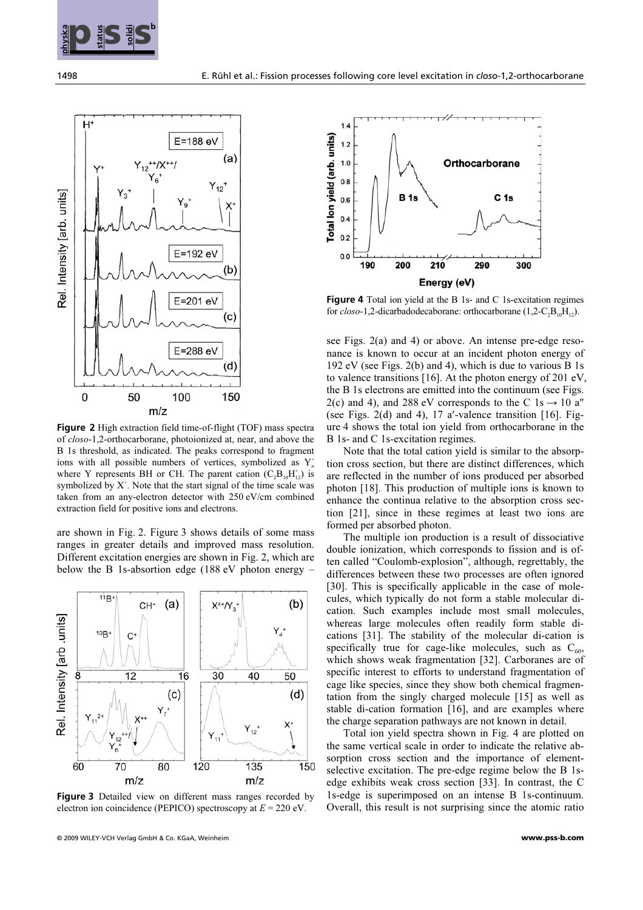



**Figure 2** High extraction field time-of-flight (TOF) mass spectra of closo-1,2-orthocarborane, photoionized at, near, and above the B 1s threshold, as indicated. The peaks correspond to fragment ions with all possible numbers of vertices, symbolized as  $Y_n^+$ where Y represents BH or CH. The parent cation  $(C_2B_{10}H_{12}^+)$  is symbolized by  $X^*$ . Note that the start signal of the time scale was taken from an any-electron detector with 250 eV/cm combined extraction field for positive ions and electrons.

are shown in Fig. 2. Figure 3 shows details of some mass ranges in greater details and improved mass resolution. Different excitation energies are shown in Fig. 2, which are below the B 1s-absortion edge (188 eV photon energy –



**Figure 3** Detailed view on different mass ranges recorded by electron ion coincidence (PEPICO) spectroscopy at  $E = 220$  eV.



**Figure 4** Total ion yield at the B 1s- and C 1s-excitation regimes for  $closo-1$ , 2-dicarbadodecaborane: orthocarborane  $(1, 2-C_2B_{10}H_{12})$ .

see Figs. 2(a) and 4) or above. An intense pre-edge resonance is known to occur at an incident photon energy of 192 eV (see Figs. 2(b) and 4), which is due to various B 1s to valence transitions [16]. At the photon energy of 201 eV, the B 1s electrons are emitted into the continuum (see Figs. the B 1s electrons are emitted into the continuum (see Figs. 2(c) and 4), and 288 eV corresponds to the C 1s  $\rightarrow$  10 a" 2(c) and 4), and 288 eV corresponds to the C  $1s \rightarrow 10$  a"<br>(see Figs. 2(d) and 4), 17 a'-valence transition [16]. Figure 4 shows the total ion yield from orthocarborane in the B 1s- and C 1s-excitation regimes.

 Note that the total cation yield is similar to the absorption cross section, but there are distinct differences, which are reflected in the number of ions produced per absorbed photon [18]. This production of multiple ions is known to enhance the continua relative to the absorption cross section [21], since in these regimes at least two ions are formed per absorbed photon.

 The multiple ion production is a result of dissociative double ionization, which corresponds to fission and is often called "Coulomb-explosion", although, regrettably, the differences between these two processes are often ignored [30]. This is specifically applicable in the case of molecules, which typically do not form a stable molecular dication. Such examples include most small molecules, whereas large molecules often readily form stable dications [31]. The stability of the molecular di-cation is specifically true for cage-like molecules, such as  $C_{60}$ , which shows weak fragmentation [32]. Carboranes are of specific interest to efforts to understand fragmentation of cage like species, since they show both chemical fragmentation from the singly charged molecule [15] as well as stable di-cation formation [16], and are examples where the charge separation pathways are not known in detail.

 Total ion yield spectra shown in Fig. 4 are plotted on the same vertical scale in order to indicate the relative absorption cross section and the importance of elementselective excitation. The pre-edge regime below the B 1sedge exhibits weak cross section [33]. In contrast, the C 1s-edge is superimposed on an intense B 1s-continuum. Overall, this result is not surprising since the atomic ratio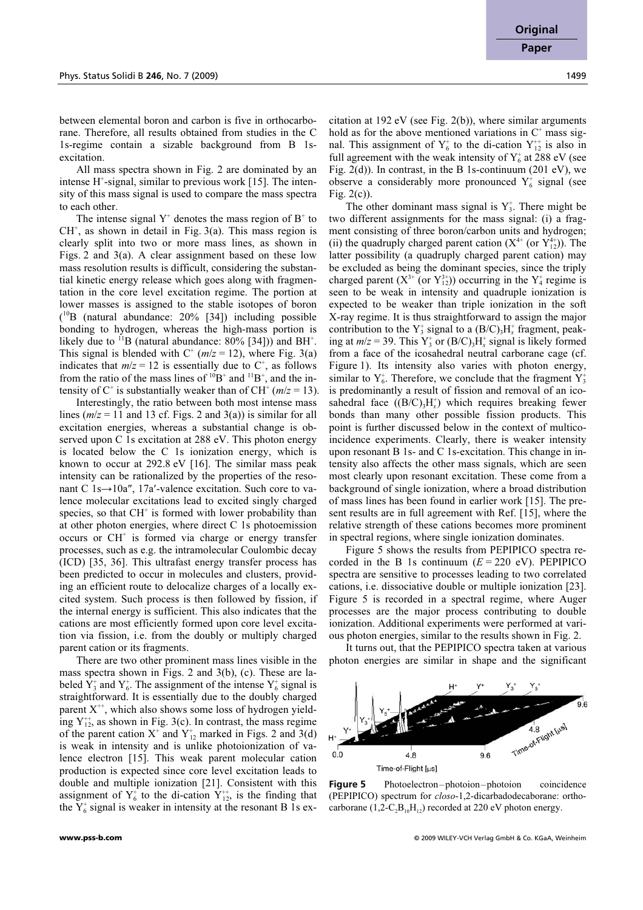between elemental boron and carbon is five in orthocarborane. Therefore, all results obtained from studies in the C 1s-regime contain a sizable background from B 1sexcitation.

 All mass spectra shown in Fig. 2 are dominated by an intense H<sup>+</sup>-signal, similar to previous work [15]. The intensity of this mass signal is used to compare the mass spectra to each other.

The intense signal  $Y^+$  denotes the mass region of  $B^+$  to  $CH<sup>+</sup>$ , as shown in detail in Fig. 3(a). This mass region is clearly split into two or more mass lines, as shown in Figs. 2 and 3(a). A clear assignment based on these low mass resolution results is difficult, considering the substantial kinetic energy release which goes along with fragmentation in the core level excitation regime. The portion at lower masses is assigned to the stable isotopes of boron ( <sup>10</sup>B (natural abundance: 20% [34]) including possible bonding to hydrogen, whereas the high-mass portion is likely due to  $^{11}B$  (natural abundance: 80% [34])) and BH<sup>+</sup>. This signal is blended with  $C^+$  ( $m/z = 12$ ), where Fig. 3(a) indicates that  $m/z = 12$  is essentially due to C<sup>+</sup>, as follows from the ratio of the mass lines of  $10B^+$  and  $11B^+$ , and the intensity of C<sup>+</sup> is substantially weaker than of CH<sup>+</sup> ( $m/z = 13$ ).

 Interestingly, the ratio between both most intense mass lines ( $m/z = 11$  and 13 cf. Figs. 2 and 3(a)) is similar for all excitation energies, whereas a substantial change is observed upon C 1s excitation at 288 eV. This photon energy is located below the C 1s ionization energy, which is known to occur at 292.8 eV [16]. The similar mass peak intensity can be rationalized by the properties of the resonant C 1s→10a″, 17a′-valence excitation. Such core to valence molecular excitations lead to excited singly charged species, so that CH<sup>+</sup> is formed with lower probability than at other photon energies, where direct C 1s photoemission occurs or CH<sup>+</sup> is formed via charge or energy transfer processes, such as e.g. the intramolecular Coulombic decay (ICD) [35, 36]. This ultrafast energy transfer process has been predicted to occur in molecules and clusters, providing an efficient route to delocalize charges of a locally excited system. Such process is then followed by fission, if the internal energy is sufficient. This also indicates that the cations are most efficiently formed upon core level excitation via fission, i.e. from the doubly or multiply charged parent cation or its fragments.

 There are two other prominent mass lines visible in the mass spectra shown in Figs. 2 and 3(b), (c). These are labeled  $\overline{Y}_3^+$  and  $Y_6^+$ . The assignment of the intense  $Y_6^+$  signal is straightforward. It is essentially due to the doubly charged parent  $X^{+}$ , which also shows some loss of hydrogen yielding  $Y_{12}^{+}$ , as shown in Fig. 3(c). In contrast, the mass regime of the parent cation  $X^+$  and  $Y^+_{12}$  marked in Figs. 2 and 3(d) is weak in intensity and is unlike photoionization of valence electron [15]. This weak parent molecular cation production is expected since core level excitation leads to double and multiple ionization [21]. Consistent with this assignment of  $Y_6^+$  to the di-cation  $Y_{12}^{++}$ , is the finding that the  $Y_6^*$  signal is weaker in intensity at the resonant B 1s ex-

citation at 192 eV (see Fig. 2(b)), where similar arguments hold as for the above mentioned variations in  $C^+$  mass signal. This assignment of  $Y_6^+$  to the di-cation  $Y_{12}^{++}$  is also in full agreement with the weak intensity of  $Y_6^*$  at 288 eV (see Fig.  $2(d)$ ). In contrast, in the B 1s-continuum (201 eV), we observe a considerably more pronounced  $Y_6^+$  signal (see Fig. 2(c)).

The other dominant mass signal is  $Y_3^+$ . There might be two different assignments for the mass signal: (i) a fragment consisting of three boron/carbon units and hydrogen; (ii) the quadruply charged parent cation  $(X^{4+}$  (or  $Y^{4+}_{12})$ ). The latter possibility (a quadruply charged parent cation) may be excluded as being the dominant species, since the triply charged parent  $(X^{3+}$  (or  $Y^{3+}_{12})$ ) occurring in the  $Y^+_4$  regime is seen to be weak in intensity and quadruple ionization is expected to be weaker than triple ionization in the soft X-ray regime. It is thus straightforward to assign the major contribution to the  $Y_3^*$  signal to a  $(B/C)_3H_x^*$  fragment, peaking at  $m/z = 39$ . This  $Y_3^+$  or  $(B/C)_3H_x^+$  signal is likely formed from a face of the icosahedral neutral carborane cage (cf. Figure 1). Its intensity also varies with photon energy, similar to  $Y_6^*$ . Therefore, we conclude that the fragment  $Y_3^*$ is predominantly a result of fission and removal of an icosahedral face  $((B/C)_3H_x^+)$  which requires breaking fewer bonds than many other possible fission products. This point is further discussed below in the context of multicoincidence experiments. Clearly, there is weaker intensity upon resonant B 1s- and C 1s-excitation. This change in intensity also affects the other mass signals, which are seen most clearly upon resonant excitation. These come from a background of single ionization, where a broad distribution of mass lines has been found in earlier work [15]. The present results are in full agreement with Ref. [15], where the relative strength of these cations becomes more prominent in spectral regions, where single ionization dominates.

 Figure 5 shows the results from PEPIPICO spectra recorded in the B 1s continuum  $(E = 220 \text{ eV})$ . PEPIPICO spectra are sensitive to processes leading to two correlated cations, i.e. dissociative double or multiple ionization [23]. Figure 5 is recorded in a spectral regime, where Auger processes are the major process contributing to double ionization. Additional experiments were performed at various photon energies, similar to the results shown in Fig. 2.

 It turns out, that the PEPIPICO spectra taken at various photon energies are similar in shape and the significant



**Figure 5** Photoelectron–photoion–photoion coincidence (PEPIPICO) spectrum for closo-1,2-dicarbadodecaborane: orthocarborane  $(1,2-C_2B_{10}H_{12})$  recorded at 220 eV photon energy.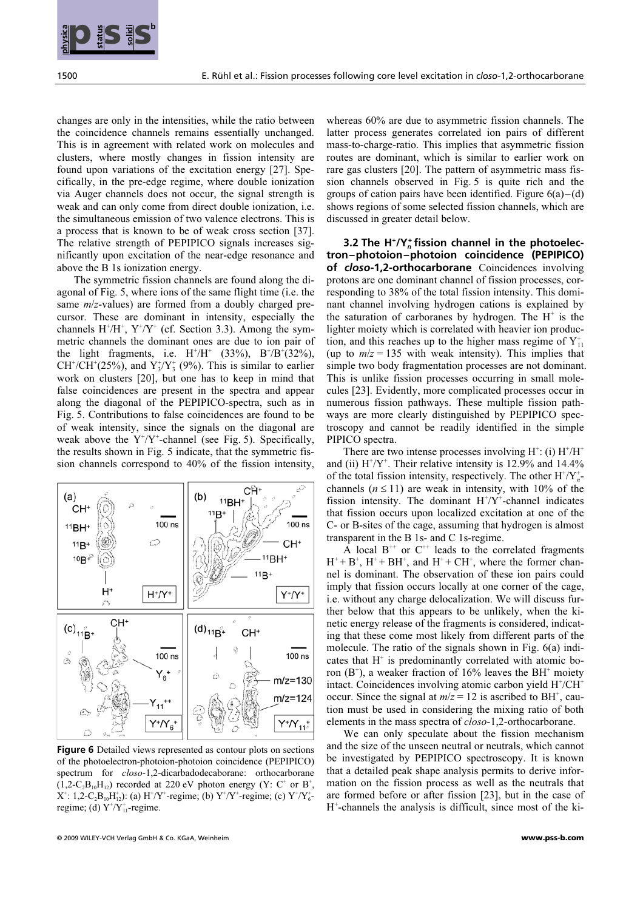

changes are only in the intensities, while the ratio between the coincidence channels remains essentially unchanged. This is in agreement with related work on molecules and clusters, where mostly changes in fission intensity are found upon variations of the excitation energy [27]. Specifically, in the pre-edge regime, where double ionization via Auger channels does not occur, the signal strength is weak and can only come from direct double ionization, i.e. the simultaneous emission of two valence electrons. This is a process that is known to be of weak cross section [37]. The relative strength of PEPIPICO signals increases significantly upon excitation of the near-edge resonance and above the B 1s ionization energy.

 The symmetric fission channels are found along the diagonal of Fig. 5, where ions of the same flight time (i.e. the same *m*/z-values) are formed from a doubly charged precursor. These are dominant in intensity, especially the channels  $H^+/H^+$ ,  $Y^+/Y^+$  (cf. Section 3.3). Among the symmetric channels the dominant ones are due to ion pair of the light fragments, i.e.  $H^{+}/H^{+}$  (33%),  $B^{+}/B^{+}$ (32%), CH<sup>+</sup>/CH<sup>+</sup>(25%), and  $Y_3^{\dagger}/Y_3^{\dagger}$  (9%). This is similar to earlier work on clusters [20], but one has to keep in mind that false coincidences are present in the spectra and appear along the diagonal of the PEPIPICO-spectra, such as in Fig. 5. Contributions to false coincidences are found to be of weak intensity, since the signals on the diagonal are weak above the  $Y^{\dagger}/Y^{\dagger}$ -channel (see Fig. 5). Specifically, the results shown in Fig. 5 indicate, that the symmetric fission channels correspond to 40% of the fission intensity,



**Figure 6** Detailed views represented as contour plots on sections of the photoelectron-photoion-photoion coincidence (PEPIPICO) spectrum for closo-1,2-dicarbadodecaborane: orthocarborane  $(1,2-C_2B_{10}H_{12})$  recorded at 220 eV photon energy  $(Y: C^+$  or  $B^+,$  $X^{\dagger}$ : 1,2-C<sub>2</sub>B<sub>10</sub>H<sub>12</sub>): (a) H<sup>+</sup>/Y<sup>+</sup>-regime; (b) Y<sup>+</sup>/Y<sup>+</sup>-regime; (c) Y<sup>+</sup>/Y<sub>6</sub><sup>-</sup> regime; (d)  $Y^{\dagger}/Y_{11}^{\dagger}$ -regime.

whereas 60% are due to asymmetric fission channels. The latter process generates correlated ion pairs of different mass-to-charge-ratio. This implies that asymmetric fission routes are dominant, which is similar to earlier work on rare gas clusters [20]. The pattern of asymmetric mass fission channels observed in Fig. 5 is quite rich and the groups of cation pairs have been identified. Figure  $6(a) - (d)$ shows regions of some selected fission channels, which are discussed in greater detail below.

 **3.2 The H+ /Y***<sup>n</sup>* **+ fission channel in the photoelectron–photoion–photoion coincidence (PEPIPICO) of** *closo***-1,2-orthocarborane** Coincidences involving protons are one dominant channel of fission processes, corresponding to 38% of the total fission intensity. This dominant channel involving hydrogen cations is explained by the saturation of carboranes by hydrogen. The  $H^+$  is the lighter moiety which is correlated with heavier ion production, and this reaches up to the higher mass regime of  $Y_{11}^+$ (up to  $m/z = 135$  with weak intensity). This implies that simple two body fragmentation processes are not dominant. This is unlike fission processes occurring in small molecules [23]. Evidently, more complicated processes occur in numerous fission pathways. These multiple fission pathways are more clearly distinguished by PEPIPICO spectroscopy and cannot be readily identified in the simple PIPICO spectra.

There are two intense processes involving  $H^+$ : (i)  $H^+/H^+$ and (ii)  $H^{\dagger}/Y^{\dagger}$ . Their relative intensity is 12.9% and 14.4% of the total fission intensity, respectively. The other  $H^{\dagger}/Y_n^{\dagger}$ channels ( $n \le 11$ ) are weak in intensity, with 10% of the fission intensity. The dominant  $H^{\dagger}/Y^{\dagger}$ -channel indicates that fission occurs upon localized excitation at one of the C- or B-sites of the cage, assuming that hydrogen is almost transparent in the B 1s- and C 1s-regime.

A local  $B^{++}$  or  $C^{++}$  leads to the correlated fragments  $H^+ + B^+$ ,  $H^+ + BH^+$ , and  $H^+ + CH^+$ , where the former channel is dominant. The observation of these ion pairs could imply that fission occurs locally at one corner of the cage, i.e. without any charge delocalization. We will discuss further below that this appears to be unlikely, when the kinetic energy release of the fragments is considered, indicating that these come most likely from different parts of the molecule. The ratio of the signals shown in Fig. 6(a) indicates that H<sup>+</sup> is predominantly correlated with atomic boron  $(B^+)$ , a weaker fraction of 16% leaves the BH<sup>+</sup> moiety intact. Coincidences involving atomic carbon yield H<sup>+</sup>/CH<sup>+</sup> occur. Since the signal at  $m/z = 12$  is ascribed to BH<sup>+</sup>, caution must be used in considering the mixing ratio of both elements in the mass spectra of closo-1,2-orthocarborane.

 We can only speculate about the fission mechanism and the size of the unseen neutral or neutrals, which cannot be investigated by PEPIPICO spectroscopy. It is known that a detailed peak shape analysis permits to derive information on the fission process as well as the neutrals that are formed before or after fission [23], but in the case of H<sup>+</sup>-channels the analysis is difficult, since most of the ki-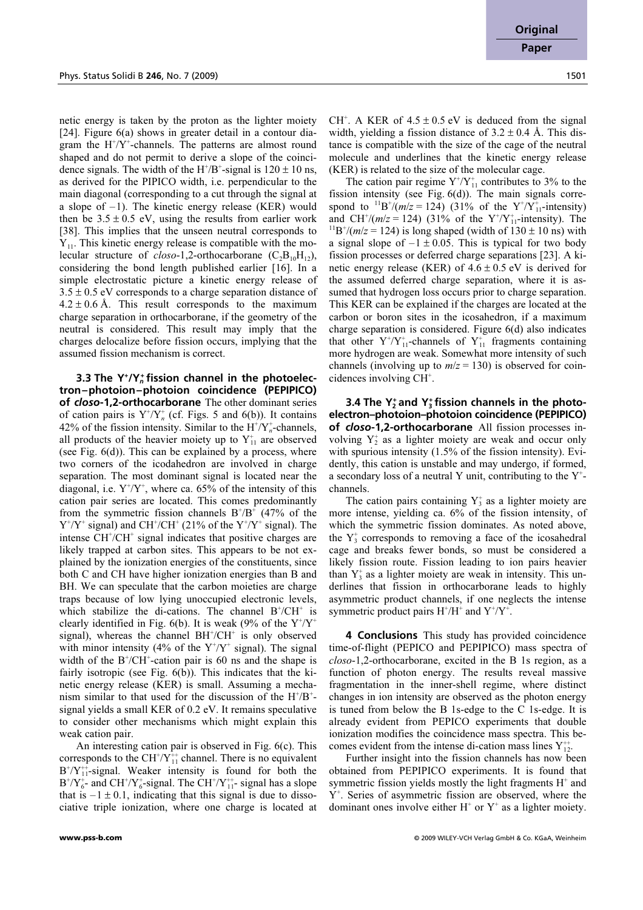**Original Paper**

netic energy is taken by the proton as the lighter moiety [24]. Figure 6(a) shows in greater detail in a contour diagram the  $H^{\dagger}/Y^{\dagger}$ -channels. The patterns are almost round shaped and do not permit to derive a slope of the coincidence signals. The width of the  $H^+/B^+$ -signal is  $120 \pm 10$  ns, as derived for the PIPICO width, i.e. perpendicular to the main diagonal (corresponding to a cut through the signal at a slope of  $-1$ ). The kinetic energy release (KER) would then be  $3.5 \pm 0.5$  eV, using the results from earlier work [38]. This implies that the unseen neutral corresponds to  $Y_{11}$ . This kinetic energy release is compatible with the molecular structure of *closo*-1,2-orthocarborane  $(C_2B_{10}H_{12})$ , considering the bond length published earlier [16]. In a simple electrostatic picture a kinetic energy release of  $3.5 \pm 0.5$  eV corresponds to a charge separation distance of  $4.2 \pm 0.6$  Å. This result corresponds to the maximum charge separation in orthocarborane, if the geometry of the neutral is considered. This result may imply that the charges delocalize before fission occurs, implying that the assumed fission mechanism is correct.

 **3.3 The Y+ /Y***<sup>n</sup>* **+ fission channel in the photoelectron–photoion–photoion coincidence (PEPIPICO) of** *closo***-1,2-orthocarborane** The other dominant series of cation pairs is  $Y^{\dagger}/Y_n^{\dagger}$  (cf. Figs. 5 and 6(b)). It contains 42% of the fission intensity. Similar to the  $H^{\dagger}/Y_n^{\dagger}$ -channels, all products of the heavier moiety up to  $Y_{11}^+$  are observed (see Fig. 6(d)). This can be explained by a process, where two corners of the icodahedron are involved in charge separation. The most dominant signal is located near the diagonal, i.e.  $Y^{\dagger}/Y^{\dagger}$ , where ca. 65% of the intensity of this cation pair series are located. This comes predominantly from the symmetric fission channels  $B^+/B^+$  (47% of the  $Y^+ / Y^+$  signal) and CH<sup>+</sup>/CH<sup>+</sup> (21% of the  $Y^+ / Y^+$  signal). The intense CH<sup>+</sup>/CH<sup>+</sup> signal indicates that positive charges are likely trapped at carbon sites. This appears to be not explained by the ionization energies of the constituents, since both C and CH have higher ionization energies than B and BH. We can speculate that the carbon moieties are charge traps because of low lying unoccupied electronic levels, which stabilize the di-cations. The channel  $B^{\dagger}/CH^{\dagger}$  is clearly identified in Fig. 6(b). It is weak (9% of the  $Y^{\dagger}/Y^{\dagger}$ signal), whereas the channel BH<sup>+</sup>/CH<sup>+</sup> is only observed with minor intensity (4% of the  $Y^{\dagger}/Y^{\dagger}$  signal). The signal width of the  $B^{\dagger}/CH^{\dagger}$ -cation pair is 60 ns and the shape is fairly isotropic (see Fig. 6(b)). This indicates that the kinetic energy release (KER) is small. Assuming a mechanism similar to that used for the discussion of the  $H^+/B^+$ signal yields a small KER of 0.2 eV. It remains speculative to consider other mechanisms which might explain this weak cation pair.

 An interesting cation pair is observed in Fig. 6(c). This corresponds to the  $CH^{\dagger}/Y_{11}^{\dagger}$  channel. There is no equivalent  $B^{\dagger}/Y_{11}^{\dagger}$ -signal. Weaker intensity is found for both the  $B^{+}/Y_{6}^{+}$  and CH<sup>+</sup>/ $Y_{6}^{+}$ -signal. The CH<sup>+</sup>/ $Y_{11}^{++}$ -signal has a slope that is  $-1 \pm 0.1$ , indicating that this signal is due to dissociative triple ionization, where one charge is located at

CH<sup>+</sup>. A KER of  $4.5 \pm 0.5$  eV is deduced from the signal width, yielding a fission distance of  $3.2 \pm 0.4$  Å. This distance is compatible with the size of the cage of the neutral molecule and underlines that the kinetic energy release (KER) is related to the size of the molecular cage.

The cation pair regime  $Y^{\dagger}/Y_{11}^{\dagger}$  contributes to 3% to the fission intensity (see Fig. 6(d)). The main signals correspond to  $^{11}B^{+}/(m/z = 124)$  (31% of the Y<sup>+</sup>/Y<sub>11</sub>-intensity) and CH<sup>+</sup>/( $m/z = 124$ ) (31% of the Y<sup>+</sup>/Y<sup>+</sup><sub>1</sub> and CH<sup>+</sup>/(*m*/*z* = 124) (31% of the Y<sup>+</sup>/Y<sup>+</sup><sub>11</sub>-intensity). The <sup>11</sup>B<sup>+</sup>/(*m*/*z* = 124) is long shaped (width of 130 ± 10 ns) with a signal slope of  $-1 \pm 0.05$ . This is typical for two body fission processes or deferred charge separations [23]. A kinetic energy release (KER) of  $4.6 \pm 0.5$  eV is derived for the assumed deferred charge separation, where it is assumed that hydrogen loss occurs prior to charge separation. This KER can be explained if the charges are located at the carbon or boron sites in the icosahedron, if a maximum charge separation is considered. Figure 6(d) also indicates that other  $Y^{\dagger}/Y^{\dagger}_{11}$ -channels of  $Y^{\dagger}_{11}$  fragments containing more hydrogen are weak. Somewhat more intensity of such channels (involving up to  $m/z = 130$ ) is observed for coincidences involving  $\overrightarrow{CH}^+$ .

**3.4 The Y<sub>2</sub>** and Y<sub>3</sub> fission channels in the photo**electron–photoion–photoion coincidence (PEPIPICO) of** *closo***-1,2-orthocarborane** All fission processes involving  $Y_2^+$  as a lighter moiety are weak and occur only with spurious intensity (1.5% of the fission intensity). Evidently, this cation is unstable and may undergo, if formed, a secondary loss of a neutral Y unit, contributing to the  $Y^+$ channels.

The cation pairs containing  $Y_3^*$  as a lighter moiety are more intense, yielding ca. 6% of the fission intensity, of which the symmetric fission dominates. As noted above, the  $Y_3^*$  corresponds to removing a face of the icosahedral cage and breaks fewer bonds, so must be considered a likely fission route. Fission leading to ion pairs heavier than  $Y_3^*$  as a lighter moiety are weak in intensity. This underlines that fission in orthocarborane leads to highly asymmetric product channels, if one neglects the intense symmetric product pairs  $H^+/H^+$  and  $Y^+/Y^+$ .

 **4 Conclusions** This study has provided coincidence time-of-flight (PEPICO and PEPIPICO) mass spectra of closo-1,2-orthocarborane, excited in the B 1s region, as a function of photon energy. The results reveal massive fragmentation in the inner-shell regime, where distinct changes in ion intensity are observed as the photon energy is tuned from below the B 1s-edge to the C 1s-edge. It is already evident from PEPICO experiments that double ionization modifies the coincidence mass spectra. This becomes evident from the intense di-cation mass lines  $Y_{12}^{++}$ .

 Further insight into the fission channels has now been obtained from PEPIPICO experiments. It is found that symmetric fission yields mostly the light fragments  $H^+$  and Y<sup>+</sup>. Series of asymmetric fission are observed, where the dominant ones involve either  $H^+$  or  $Y^+$  as a lighter moiety.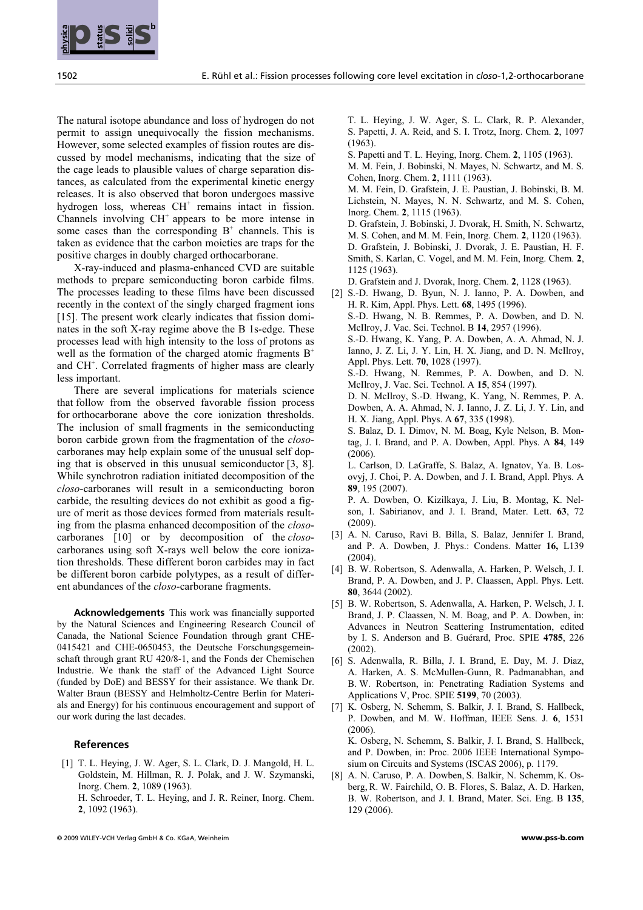The natural isotope abundance and loss of hydrogen do not permit to assign unequivocally the fission mechanisms. However, some selected examples of fission routes are discussed by model mechanisms, indicating that the size of the cage leads to plausible values of charge separation distances, as calculated from the experimental kinetic energy releases. It is also observed that boron undergoes massive hydrogen loss, whereas CH<sup>+</sup> remains intact in fission. Channels involving  $CH<sup>+</sup>$  appears to be more intense in some cases than the corresponding  $B^+$  channels. This is taken as evidence that the carbon moieties are traps for the positive charges in doubly charged orthocarborane.

 X-ray-induced and plasma-enhanced CVD are suitable methods to prepare semiconducting boron carbide films. The processes leading to these films have been discussed recently in the context of the singly charged fragment ions [15]. The present work clearly indicates that fission dominates in the soft X-ray regime above the B 1s-edge. These processes lead with high intensity to the loss of protons as well as the formation of the charged atomic fragments  $B^+$ and CH<sup>+</sup>. Correlated fragments of higher mass are clearly less important.

**EXERCT: SEC INTERNATIONAL TERRCHAND CONSULTER CONSULTER CONSULTER CONSULTER CONSULTER CONSULTER CONSULTER CONSULTER CONSULTER CONSULTER CONSULTER CONSULTER CONSULTER CONSULTER CONSULTER CONSULTER CONSULTER CONSULTER CONS**  There are several implications for materials science that follow from the observed favorable fission process for orthocarborane above the core ionization thresholds. The inclusion of small fragments in the semiconducting boron carbide grown from the fragmentation of the closocarboranes may help explain some of the unusual self doping that is observed in this unusual semiconductor [3, 8]. While synchrotron radiation initiated decomposition of the closo-carboranes will result in a semiconducting boron carbide, the resulting devices do not exhibit as good a figure of merit as those devices formed from materials resulting from the plasma enhanced decomposition of the closocarboranes [10] or by decomposition of the closocarboranes using soft X-rays well below the core ionization thresholds. These different boron carbides may in fact be different boron carbide polytypes, as a result of different abundances of the closo-carborane fragments.

**Acknowledgements** This work was financially supported by the Natural Sciences and Engineering Research Council of Canada, the National Science Foundation through grant CHE-0415421 and CHE-0650453, the Deutsche Forschungsgemeinschaft through grant RU 420/8-1, and the Fonds der Chemischen Industrie. We thank the staff of the Advanced Light Source (funded by DoE) and BESSY for their assistance. We thank Dr. Walter Braun (BESSY and Helmholtz-Centre Berlin for Materials and Energy) for his continuous encouragement and support of our work during the last decades.

#### **References**

 [1] T. L. Heying, J. W. Ager, S. L. Clark, D. J. Mangold, H. L. Goldstein, M. Hillman, R. J. Polak, and J. W. Szymanski, Inorg. Chem. 2, 1089 (1963). H. Schroeder, T. L. Heying, and J. R. Reiner, Inorg. Chem. 2, 1092 (1963).

 T. L. Heying, J. W. Ager, S. L. Clark, R. P. Alexander, S. Papetti, J. A. Reid, and S. I. Trotz, Inorg. Chem. 2, 1097 (1963).

- S. Papetti and T. L. Heying, Inorg. Chem. 2, 1105 (1963).
- M. M. Fein, J. Bobinski, N. Mayes, N. Schwartz, and M. S. Cohen, Inorg. Chem. 2, 1111 (1963).

 M. M. Fein, D. Grafstein, J. E. Paustian, J. Bobinski, B. M. Lichstein, N. Mayes, N. N. Schwartz, and M. S. Cohen, Inorg. Chem. 2, 1115 (1963).

 D. Grafstein, J. Bobinski, J. Dvorak, H. Smith, N. Schwartz, M. S. Cohen, and M. M. Fein, Inorg. Chem. 2, 1120 (1963). D. Grafstein, J. Bobinski, J. Dvorak, J. E. Paustian, H. F. Smith, S. Karlan, C. Vogel, and M. M. Fein, Inorg. Chem. 2, 1125 (1963).

D. Grafstein and J. Dvorak, Inorg. Chem. 2, 1128 (1963).

- [2] S.-D. Hwang, D. Byun, N. J. Ianno, P. A. Dowben, and H. R. Kim, Appl. Phys. Lett. 68, 1495 (1996). S.-D. Hwang, N. B. Remmes, P. A. Dowben, and D. N. McIlroy, J. Vac. Sci. Technol. B 14, 2957 (1996). S.-D. Hwang, K. Yang, P. A. Dowben, A. A. Ahmad, N. J. Ianno, J. Z. Li, J. Y. Lin, H. X. Jiang, and D. N. McIlroy, Appl. Phys. Lett. 70, 1028 (1997). S.-D. Hwang, N. Remmes, P. A. Dowben, and D. N. McIlroy, J. Vac. Sci. Technol. A 15, 854 (1997). D. N. McIlroy, S.-D. Hwang, K. Yang, N. Remmes, P. A.
	- Dowben, A. A. Ahmad, N. J. Ianno, J. Z. Li, J. Y. Lin, and H. X. Jiang, Appl. Phys. A 67, 335 (1998). S. Balaz, D. I. Dimov, N. M. Boag, Kyle Nelson, B. Mon-
	- tag, J. I. Brand, and P. A. Dowben, Appl. Phys. A 84, 149 (2006).

 L. Carlson, D. LaGraffe, S. Balaz, A. Ignatov, Ya. B. Losovyj, J. Choi, P. A. Dowben, and J. I. Brand, Appl. Phys. A 89, 195 (2007).

 P. A. Dowben, O. Kizilkaya, J. Liu, B. Montag, K. Nelson, I. Sabirianov, and J. I. Brand, Mater. Lett. 63, 72 (2009).

- [3] A. N. Caruso, Ravi B. Billa, S. Balaz, Jennifer I. Brand, and P. A. Dowben, J. Phys.: Condens. Matter 16, L139 (2004).
- [4] B. W. Robertson, S. Adenwalla, A. Harken, P. Welsch, J. I. Brand, P. A. Dowben, and J. P. Claassen, Appl. Phys. Lett. 80, 3644 (2002).
- [5] B. W. Robertson, S. Adenwalla, A. Harken, P. Welsch, J. I. Brand, J. P. Claassen, N. M. Boag, and P. A. Dowben, in: Advances in Neutron Scattering Instrumentation, edited by I. S. Anderson and B. Guérard, Proc. SPIE 4785, 226 (2002).
- [6] S. Adenwalla, R. Billa, J. I. Brand, E. Day, M. J. Diaz, A. Harken, A. S. McMullen-Gunn, R. Padmanabhan, and B. W. Robertson, in: Penetrating Radiation Systems and Applications V, Proc. SPIE 5199, 70 (2003).
- [7] K. Osberg, N. Schemm, S. Balkir, J. I. Brand, S. Hallbeck, P. Dowben, and M. W. Hoffman, IEEE Sens. J. 6, 1531  $(2006)$ . K. Osberg, N. Schemm, S. Balkir, J. I. Brand, S. Hallbeck,

and P. Dowben, in: Proc. 2006 IEEE International Symposium on Circuits and Systems (ISCAS 2006), p. 1179.

 [8] A. N. Caruso, P. A. Dowben, S. Balkir, N. Schemm, K. Osberg, R. W. Fairchild, O. B. Flores, S. Balaz, A. D. Harken, B. W. Robertson, and J. I. Brand, Mater. Sci. Eng. B 135, 129 (2006).